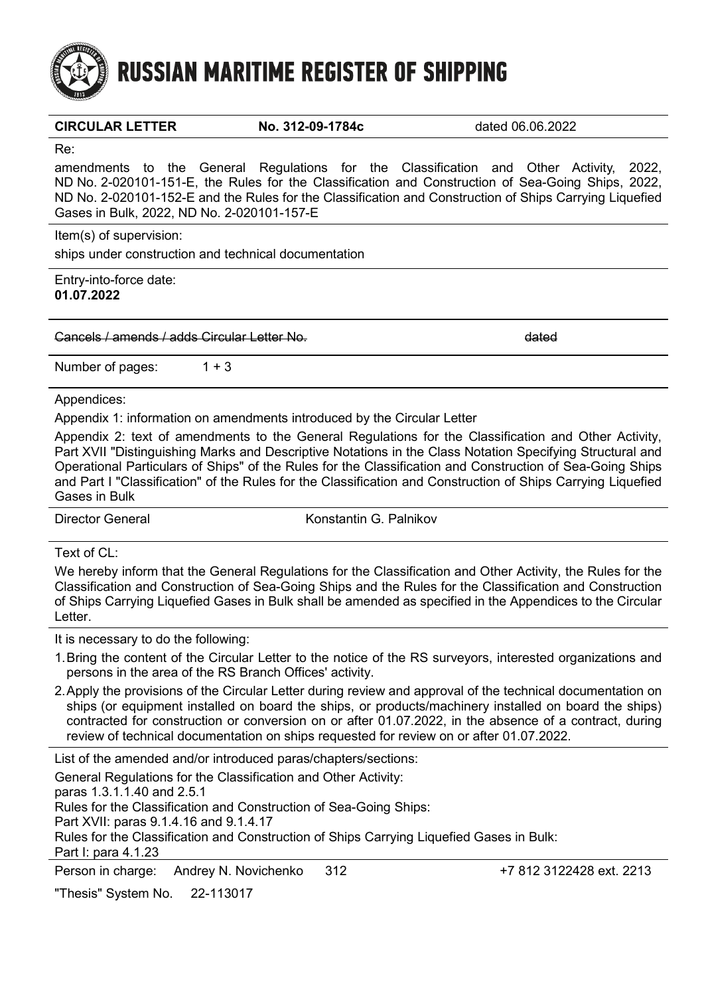

**RUSSIAN MARITIME REGISTER OF SHIPPING** 

#### **CIRCULAR LETTER No. 312-09-1784c** dated 06.06.2022

Re:

amendments to the General Regulations for the Classification and Other Activity, 2022, ND No. 2-020101-151-E, the Rules for the Classification and Construction of Sea-Going Ships, 2022, ND No. 2-020101-152-E and the Rules for the Classification and Construction of Ships Carrying Liquefied Gases in Bulk, 2022, ND No. 2-020101-157-E

Item(s) of supervision: ships under construction and technical documentation

Entry-into-force date: **01.07.2022**

Cancels / amends / adds Circular Letter No. dated

Number of pages:  $1 + 3$ 

Appendices:

Appendix 1: information on amendments introduced by the Circular Letter

Appendix 2: text of amendments to the General Regulations for the Classification and Other Activity, Part XVII "Distinguishing Marks and Descriptive Notations in the Class Notation Specifying Structural and Operational Particulars of Ships" of the Rules for the Classification and Construction of Sea-Going Ships and Part I "Classification" of the Rules for the Classification and Construction of Ships Carrying Liquefied Gases in Bulk

Director General **Exercise Constantin G. Palnikov** 

Text of CL:

We hereby inform that the General Regulations for the Classification and Other Activity, the Rules for the Classification and Construction of Sea-Going Ships and the Rules for the Classification and Construction of Ships Carrying Liquefied Gases in Bulk shall be amended as specified in the Appendices to the Circular Letter.

It is necessary to do the following:

- 1.Bring the content of the Circular Letter to the notice of the RS surveyors, interested organizations and persons in the area of the RS Branch Offices' activity.
- 2.Apply the provisions of the Circular Letter during review and approval of the technical documentation on ships (or equipment installed on board the ships, or products/machinery installed on board the ships) contracted for construction or conversion on or after 01.07.2022, in the absence of a contract, during review of technical documentation on ships requested for review on or after 01.07.2022.

List of the amended and/or introduced paras/chapters/sections:

General Regulations for the Classification and Other Activity: paras 1.3.1.1.40 and 2.5.1 Rules for the Classification and Construction of Sea-Going Ships: Part XVII: paras 9.1.4.16 and 9.1.4.17 Rules for the Classification and Construction of Ships Carrying Liquefied Gases in Bulk: Part I: para 4.1.23

Person in charge: Andrey N. Novichenko 312 +7 812 3122428 ext. 2213

"Thesis" System No. 22-113017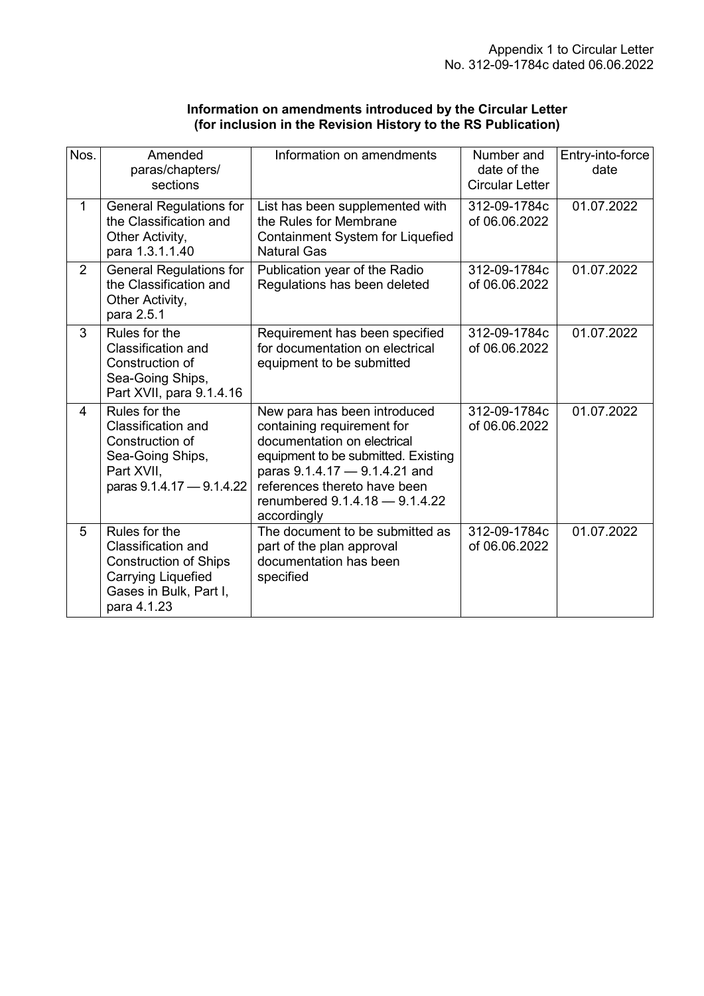| Information on amendments introduced by the Circular Letter   |
|---------------------------------------------------------------|
| (for inclusion in the Revision History to the RS Publication) |

| Nos.           | Amended<br>paras/chapters/<br>sections                                                                                                    | Information on amendments                                                                                                                                                                                                                          | Number and<br>date of the<br><b>Circular Letter</b> | Entry-into-force<br>date |
|----------------|-------------------------------------------------------------------------------------------------------------------------------------------|----------------------------------------------------------------------------------------------------------------------------------------------------------------------------------------------------------------------------------------------------|-----------------------------------------------------|--------------------------|
| $\mathbf{1}$   | <b>General Regulations for</b><br>the Classification and<br>Other Activity,<br>para 1.3.1.1.40                                            | List has been supplemented with<br>the Rules for Membrane<br>Containment System for Liquefied<br><b>Natural Gas</b>                                                                                                                                | 312-09-1784c<br>of 06.06.2022                       | 01.07.2022               |
| $\overline{2}$ | <b>General Regulations for</b><br>the Classification and<br>Other Activity,<br>para 2.5.1                                                 | Publication year of the Radio<br>Regulations has been deleted                                                                                                                                                                                      | 312-09-1784c<br>of 06.06.2022                       | 01.07.2022               |
| 3              | Rules for the<br>Classification and<br>Construction of<br>Sea-Going Ships,<br>Part XVII, para 9.1.4.16                                    | Requirement has been specified<br>for documentation on electrical<br>equipment to be submitted                                                                                                                                                     | 312-09-1784c<br>of 06.06.2022                       | 01.07.2022               |
| 4              | Rules for the<br><b>Classification and</b><br>Construction of<br>Sea-Going Ships,<br>Part XVII,<br>paras 9.1.4.17 - 9.1.4.22              | New para has been introduced<br>containing requirement for<br>documentation on electrical<br>equipment to be submitted. Existing<br>paras 9.1.4.17 - 9.1.4.21 and<br>references thereto have been<br>renumbered 9.1.4.18 - 9.1.4.22<br>accordingly | 312-09-1784c<br>of 06.06.2022                       | 01.07.2022               |
| 5              | Rules for the<br><b>Classification and</b><br><b>Construction of Ships</b><br>Carrying Liquefied<br>Gases in Bulk, Part I,<br>para 4.1.23 | The document to be submitted as<br>part of the plan approval<br>documentation has been<br>specified                                                                                                                                                | 312-09-1784c<br>of 06.06.2022                       | 01.07.2022               |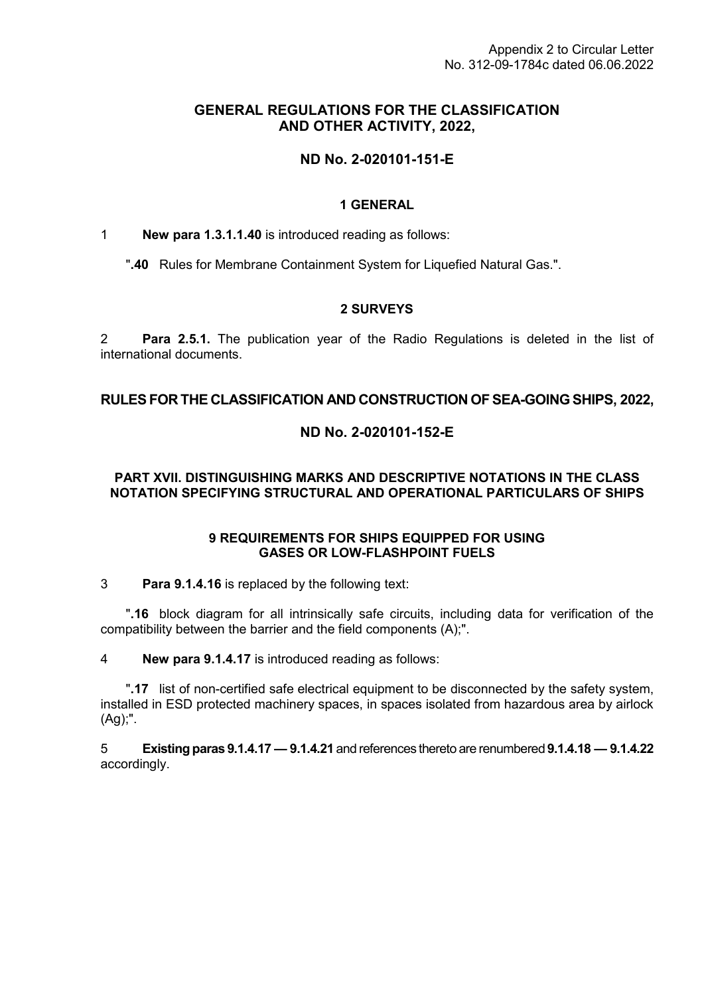## **GENERAL REGULATIONS FOR THE CLASSIFICATION AND OTHER ACTIVITY, 2022,**

# **ND No. 2-020101-151-E**

#### **1 GENERAL**

1 **New para 1.3.1.1.40** is introduced reading as follows:

"**.40** Rules for Membrane Containment System for Liquefied Natural Gas.".

#### **2 SURVEYS**

2 **Para 2.5.1.** The publication year of the Radio Regulations is deleted in the list of international documents.

#### **RULES FOR THE CLASSIFICATION AND CONSTRUCTION OF SEA-GOING SHIPS, 2022,**

## **ND No. 2-020101-152-E**

## **PART XVII. DISTINGUISHING MARKS AND DESCRIPTIVE NOTATIONS IN THE CLASS NOTATION SPECIFYING STRUCTURAL AND OPERATIONAL PARTICULARS OF SHIPS**

#### **9 REQUIREMENTS FOR SHIPS EQUIPPED FOR USING GASES OR LOW-FLASHPOINT FUELS**

3 **Para 9.1.4.16** is replaced by the following text:

"**.16** block diagram for all intrinsically safe circuits, including data for verification of the compatibility between the barrier and the field components (A);".

4 **New para 9.1.4.17** is introduced reading as follows:

"**.17** list of non-certified safe electrical equipment to be disconnected by the safety system, installed in ESD protected machinery spaces, in spaces isolated from hazardous area by airlock (Ag);".

5 **Existing paras 9.1.4.17 — 9.1.4.21** and references thereto are renumbered **9.1.4.18 — 9.1.4.22** accordingly.